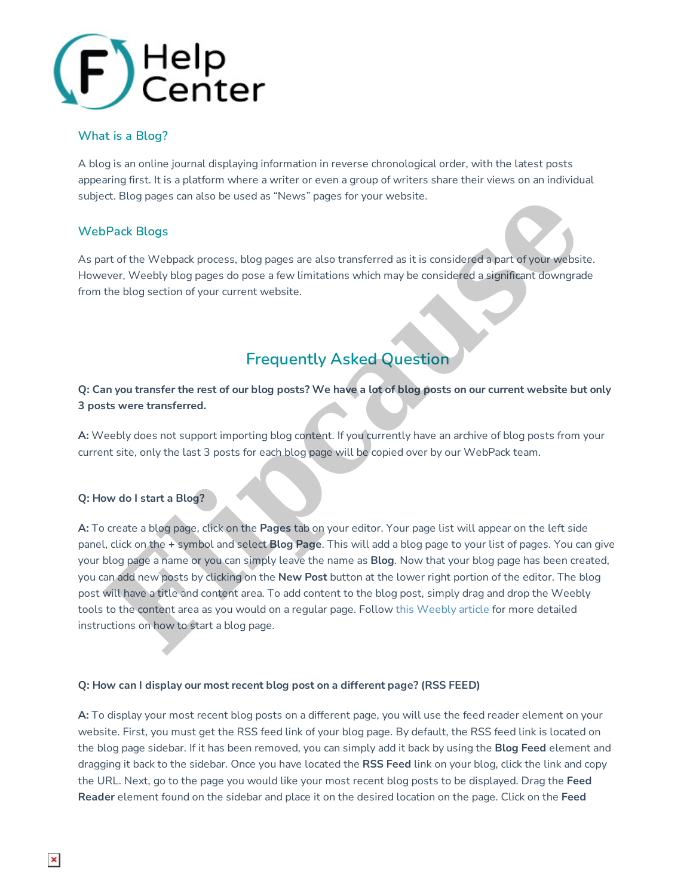

## **What is a Blog?**

A blog is an online journal displaying information in reverse chronological order, with the latest posts appearing first. It is a platform where a writer or even a group of writers share their views on an individual subject. Blog pages can also be used as "News" pages for your website.

## **WebPack Blogs**

As part of the Webpack process, blog pages are also transferred as it is considered a part of your website. However, Weebly blog pages do pose a few limitations which may be considered a significant downgrade from the blog section of your current website.

# **Frequently Asked Question**

Q: Can you transfer the rest of our blog posts? We have a lot of blog posts on our current website but only **3 posts were transferred.**

**A:** Weebly does not support importing blog content. If you currently have an archive of blog posts from your current site, only the last 3 posts for each blog page will be copied over by our WebPack team.

### **Q: How do I start a Blog?**

**A:** To create a blog page, click on the **Pages** tab on your editor. Your page list will appear on the left side panel, click on the **+** symbol and select **Blog Page**. This will add a blog page to your list of pages. You can give your blog page a name or you can simply leave the name as **Blog**. Now that your blog page has been created, you can add new posts by clicking on the **New Post** button at the lower right portion of the editor. The blog post will have a title and content area. To add content to the blog post, simply drag and drop the Weebly tools to the content area as you would on a regular page. Follow this Weebly article for more detailed instructions on how to start a blog page. ict. Blog pages can also be used as "News" pages for your website.<br>
Pack Blogs<br>
art of the Webpack process, blog pages are also transferred as it is considered a part of your website.<br>
Your Website with Nog pages are pose

### **Q: How can I display our most recent blog post on a different page? (RSS FEED)**

**A:** To display your most recent blog posts on a different page, you will use the feed reader element on your website. First, you must get the RSS feed link of your blog page. By default, the RSS feed link is located on the blog page sidebar. If it has been removed, you can simply add it back by using the **Blog Feed** element and dragging it back to the sidebar. Once you have located the **RSS Feed** link on your blog, click the link and copy the URL. Next, go to the page you would like your most recent blog posts to be displayed. Drag the **Feed Reader** element found on the sidebar and place it on the desired location on the page. Click on the **Feed**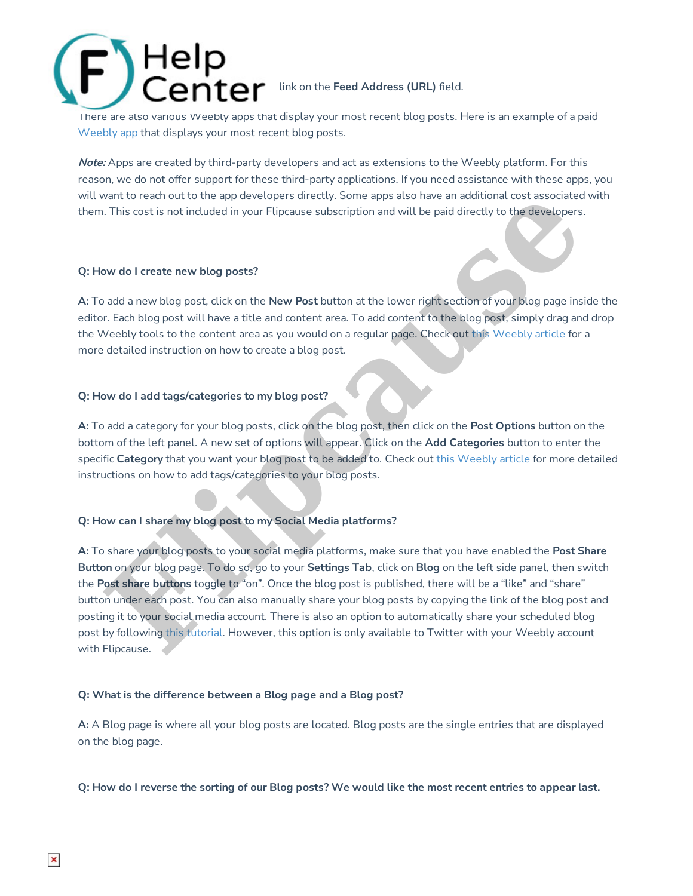

I here are also various Weebly apps that display your most recent blog posts. Here is an example of a paid Weebly app that displays your most recent blog posts.

**Note:** Apps are created by third-party developers and act as extensions to the Weebly platform. For this reason, we do not offer support for these third-party applications. If you need assistance with these apps, you will want to reach out to the app developers directly. Some apps also have an additional cost associated with them. This cost is not included in your Flipcause subscription and will be paid directly to the developers.

### **Q: How do I create new blog posts?**

**A:** To add a new blog post, click on the **New Post** button at the lower right section of your blog page inside the editor. Each blog post will have a title and content area. To add content to the blog post, simply drag and drop the Weebly tools to the content area as you would on a regular page. Check out this Weebly article for a more detailed instruction on how to create a blog post.

#### **Q: How do I add tags/categories to my blog post?**

**A:** To add a category for your blog posts, click on the blog post, then click on the **Post Options** button on the bottom of the left panel. A new set of options will appear. Click on the **Add Categories** button to enter the specific **Category** that you want your blog post to be added to. Check out this Weebly article for more detailed instructions on how to add tags/categories to your blog posts.

### **Q: How can I share my blog post to my Social Media platforms?**

**A:** To share your blog posts to your social media platforms, make sure that you have enabled the **Post Share Button** on your blog page. To do so, go to your **Settings Tab**, click on **Blog** on the left side panel, then switch the **Post share buttons** toggle to "on". Once the blog post is published, there will be a "like" and "share" button under each post. You can also manually share your blog posts by copying the link of the blog post and posting it to your social media account. There is also an option to automatically share your scheduled blog post by following this tutorial. However, this option is only available to Twitter with your Weebly account with Flipcause. want to reach out to the app developers directly. Some apps also have an additional cost associated<br> **Fluis cost is not included** in your Flipcause subscription and will be paid directly to the developers.<br>
This cost is no

### **Q: What is the difference between a Blog page and a Blog post?**

**A:** A Blog page is where all your blog posts are located. Blog posts are the single entries that are displayed on the blog page.

Q: How do I reverse the sorting of our Blog posts? We would like the most recent entries to appear last.